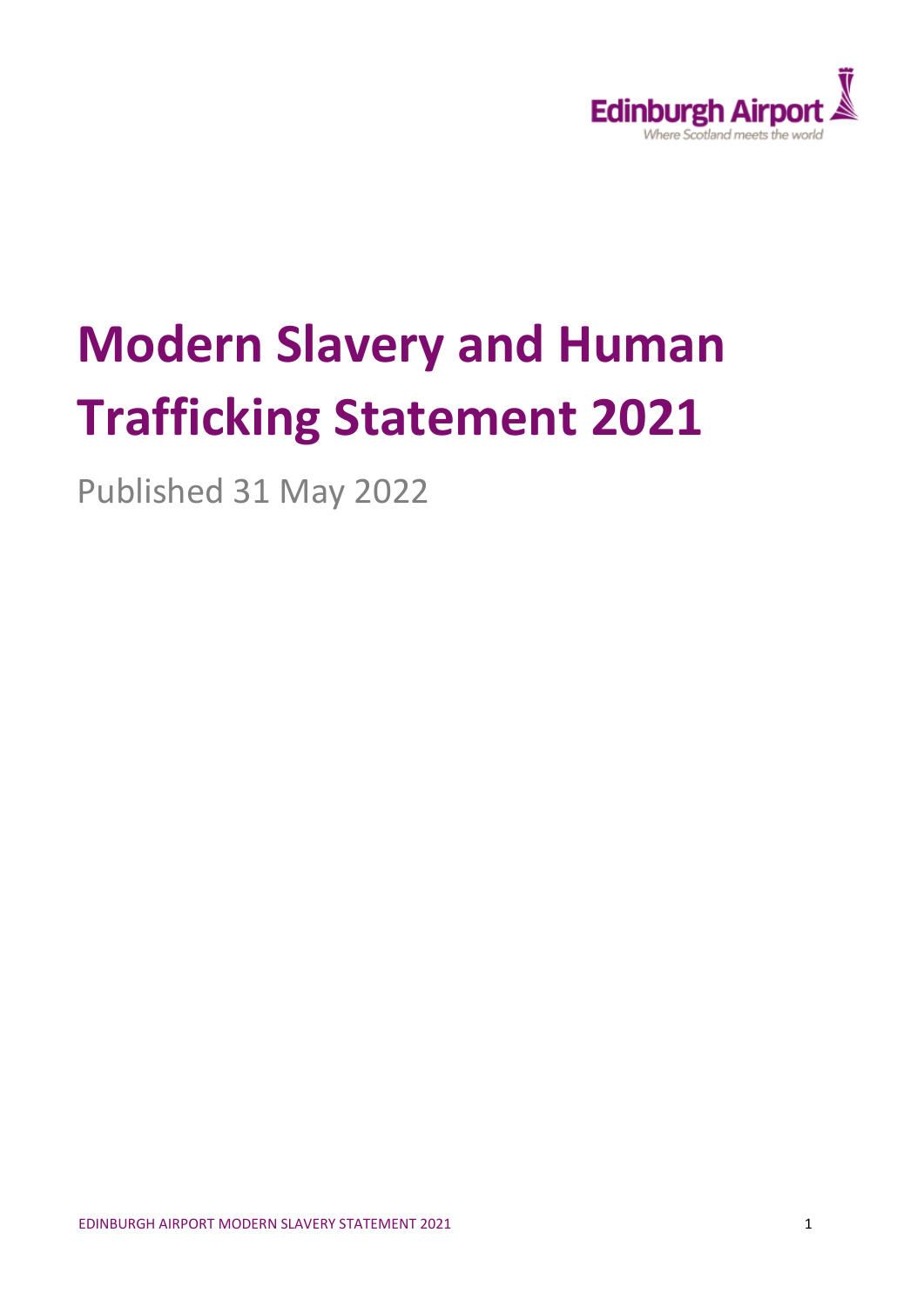

# **Modern Slavery and Human Trafficking Statement 2021**

Published 31 May 2022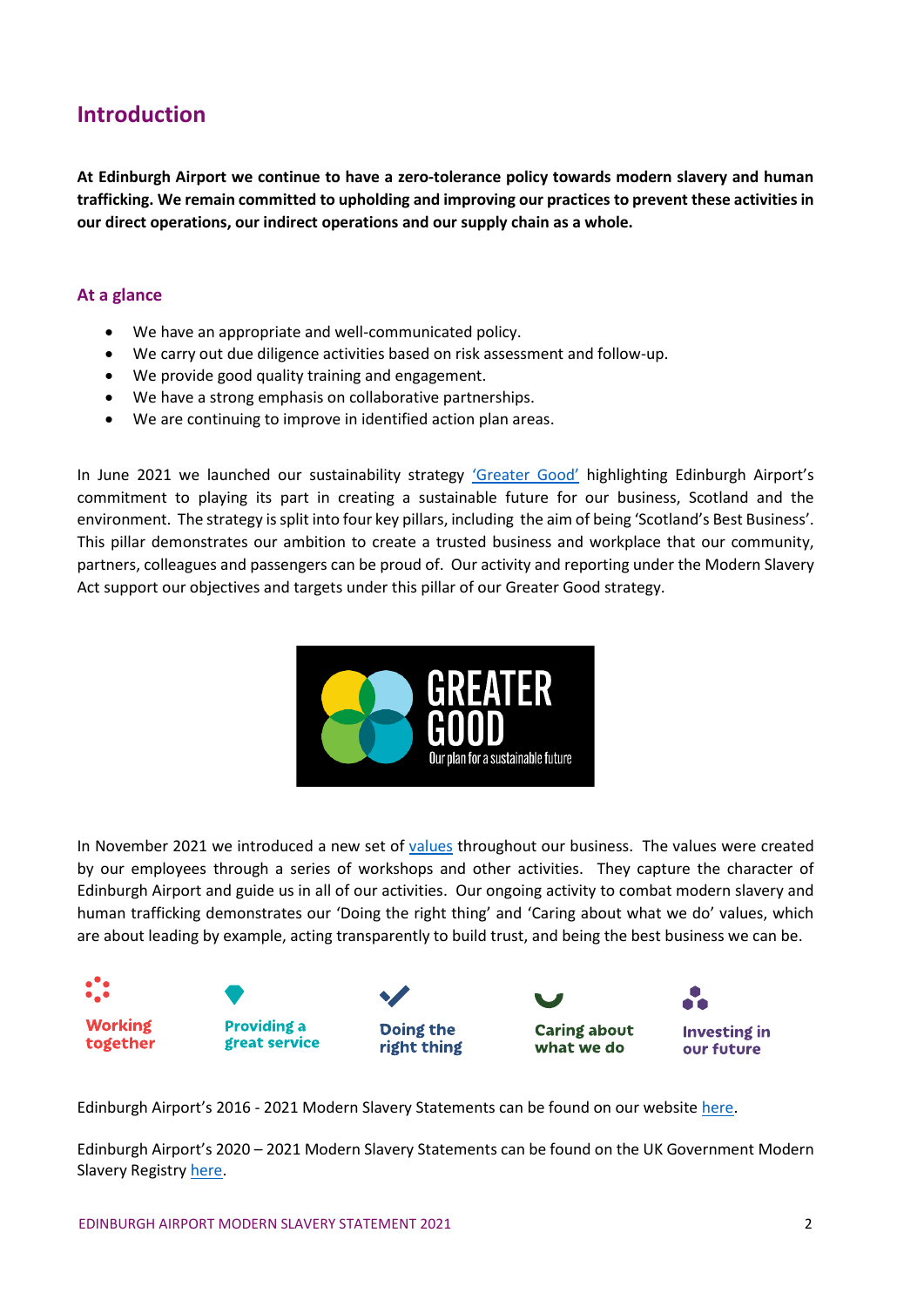## **Introduction**

**At Edinburgh Airport we continue to have a zero-tolerance policy towards modern slavery and human trafficking. We remain committed to upholding and improving our practices to prevent these activities in our direct operations, our indirect operations and our supply chain as a whole.**

#### **At a glance**

- We have an appropriate and well-communicated policy.
- We carry out due diligence activities based on risk assessment and follow-up.
- We provide good quality training and engagement.
- We have a strong emphasis on collaborative partnerships.
- We are continuing to improve in identified action plan areas.

In June 2021 we launched our sustainability strategy ['Greater Good'](https://corporate.edinburghairport.com/sustainability) highlighting Edinburgh Airport's commitment to playing its part in creating a sustainable future for our business, Scotland and the environment. The strategy is split into four key pillars, including the aim of being 'Scotland's Best Business'. This pillar demonstrates our ambition to create a trusted business and workplace that our community, partners, colleagues and passengers can be proud of. Our activity and reporting under the Modern Slavery Act support our objectives and targets under this pillar of our Greater Good strategy.



In November 2021 we introduced a new set of [values](https://careers.edinburghairport.com/our-values/) throughout our business. The values were created by our employees through a series of workshops and other activities. They capture the character of Edinburgh Airport and guide us in all of our activities. Our ongoing activity to combat modern slavery and human trafficking demonstrates our 'Doing the right thing' and 'Caring about what we do' values, which are about leading by example, acting transparently to build trust, and being the best business we can be.



Edinburgh Airport's 2016 - 2021 Modern Slavery Statements can be found on our website [here.](https://www.edinburghairport.com/help/modern-slavery-act)

Edinburgh Airport's 2020 – 2021 Modern Slavery Statements can be found on the UK Government Modern Slavery Registry [here.](https://modern-slavery-statement-registry.service.gov.uk/search-results?Search=edinburgh+Airport)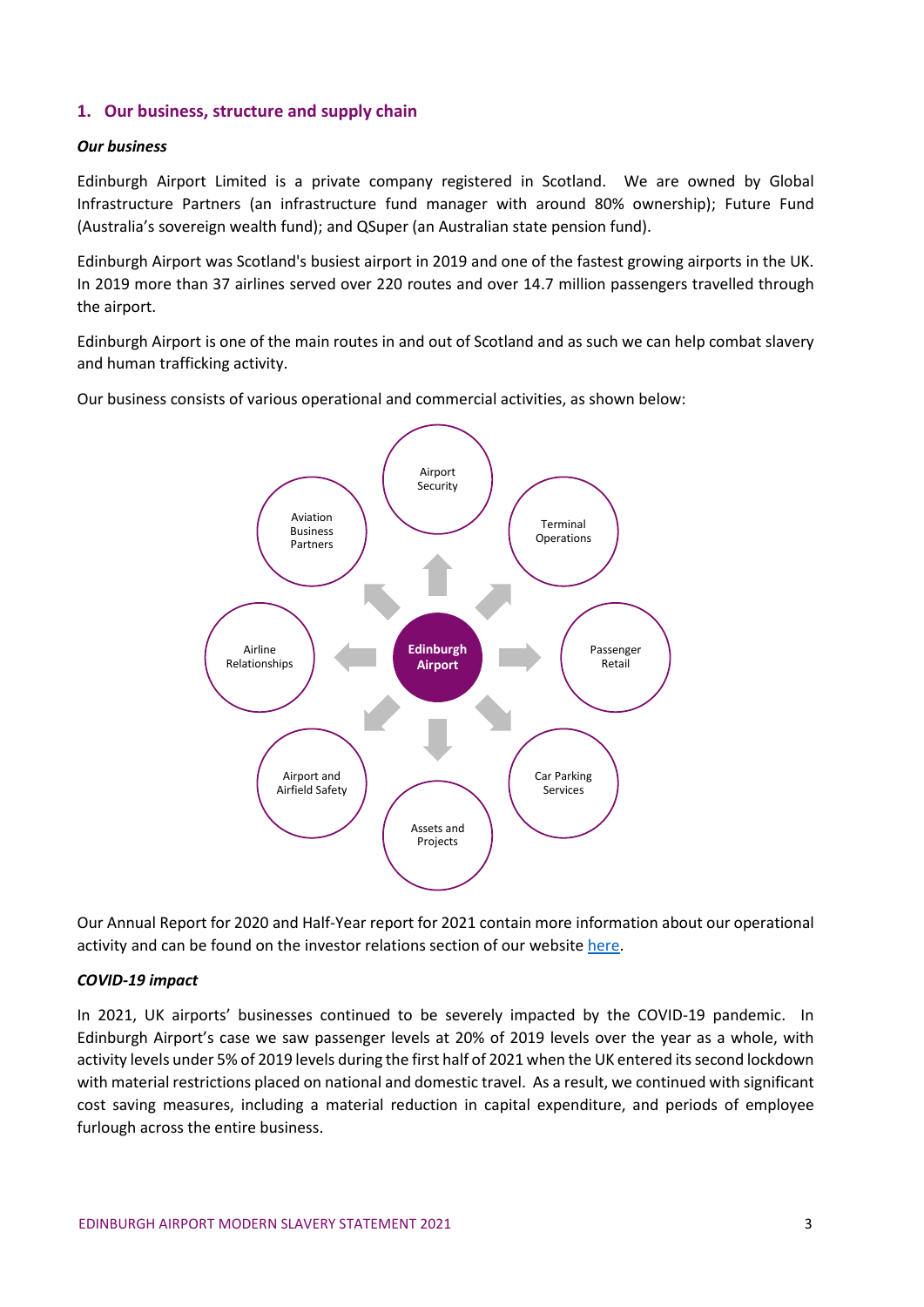## **1. Our business, structure and supply chain**

#### *Our business*

Edinburgh Airport Limited is a private company registered in Scotland. We are owned by Global Infrastructure Partners (an infrastructure fund manager with around 80% ownership); Future Fund (Australia's sovereign wealth fund); and QSuper (an Australian state pension fund).

Edinburgh Airport was Scotland's busiest airport in 2019 and one of the fastest growing airports in the UK. In 2019 more than 37 airlines served over 220 routes and over 14.7 million passengers travelled through the airport.

Edinburgh Airport is one of the main routes in and out of Scotland and as such we can help combat slavery and human trafficking activity.

Our business consists of various operational and commercial activities, as shown below:



Our Annual Report for 2020 and Half-Year report for 2021 contain more information about our operational activity and can be found on the investor relations section of our website [here.](https://corporate.edinburghairport.com/doing-business-with-us/investor-relations)

#### *COVID-19 impact*

In 2021, UK airports' businesses continued to be severely impacted by the COVID-19 pandemic. In Edinburgh Airport's case we saw passenger levels at 20% of 2019 levels over the year as a whole, with activity levels under 5% of 2019 levels during the first half of 2021 when the UK entered its second lockdown with material restrictions placed on national and domestic travel. As a result, we continued with significant cost saving measures, including a material reduction in capital expenditure, and periods of employee furlough across the entire business.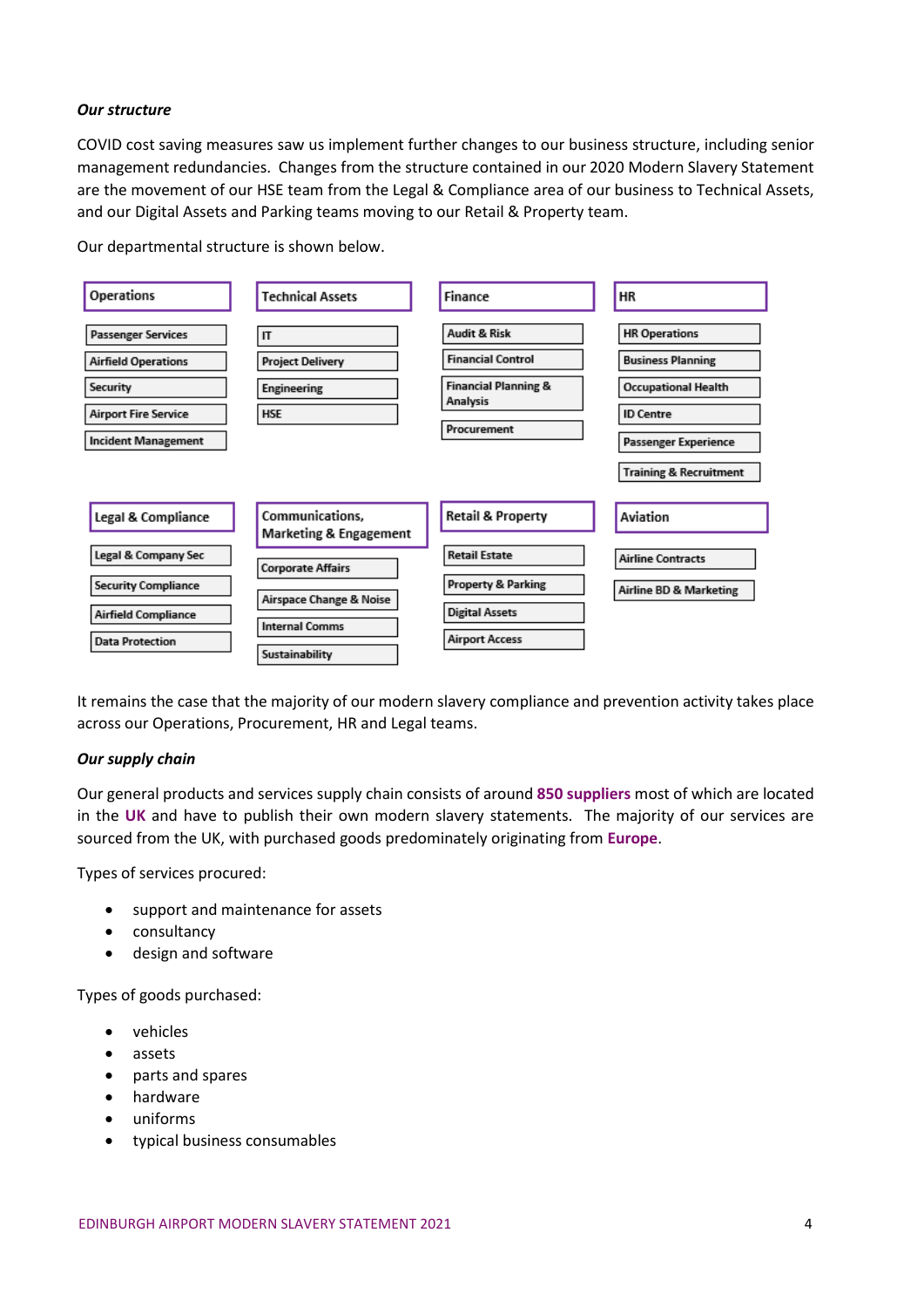#### *Our structure*

COVID cost saving measures saw us implement further changes to our business structure, including senior management redundancies. Changes from the structure contained in our 2020 Modern Slavery Statement are the movement of our HSE team from the Legal & Compliance area of our business to Technical Assets, and our Digital Assets and Parking teams moving to our Retail & Property team.

Our departmental structure is shown below.



It remains the case that the majority of our modern slavery compliance and prevention activity takes place across our Operations, Procurement, HR and Legal teams.

#### *Our supply chain*

Our general products and services supply chain consists of around **850 suppliers** most of which are located in the **UK** and have to publish their own modern slavery statements. The majority of our services are sourced from the UK, with purchased goods predominately originating from **Europe**.

Types of services procured:

- support and maintenance for assets
- consultancy
- design and software

Types of goods purchased:

- vehicles
- assets
- parts and spares
- hardware
- uniforms
- typical business consumables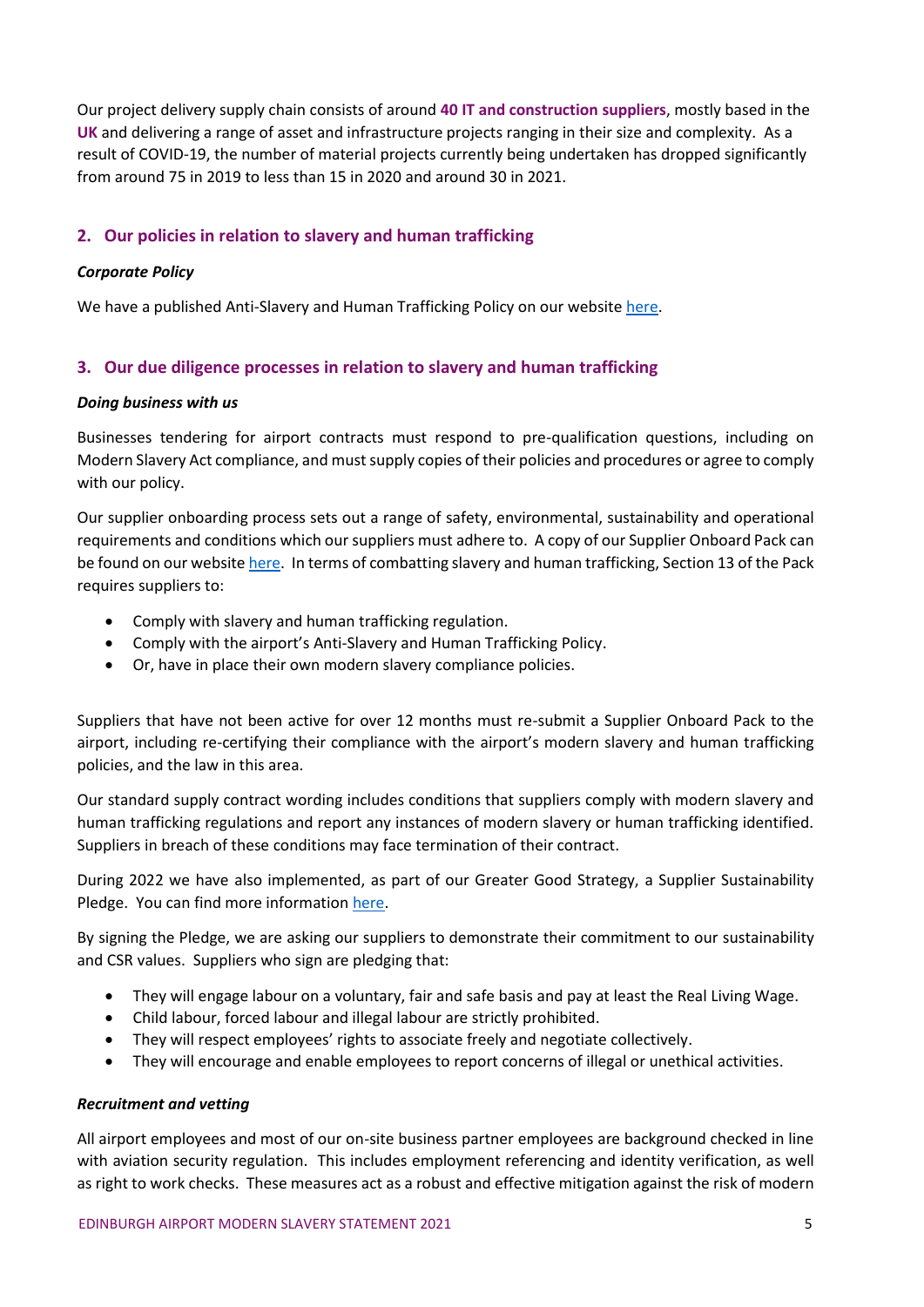Our project delivery supply chain consists of around **40 IT and construction suppliers**, mostly based in the **UK** and delivering a range of asset and infrastructure projects ranging in their size and complexity. As a result of COVID-19, the number of material projects currently being undertaken has dropped significantly from around 75 in 2019 to less than 15 in 2020 and around 30 in 2021.

## **2. Our policies in relation to slavery and human trafficking**

#### *Corporate Policy*

We have a published Anti-Slavery and Human Trafficking Policy on our websit[e here.](https://s3-eu-west-1.amazonaws.com/edinburghairport/files/2017/03/Anti_Slavery_and_Human_Trafficking_Policy_2016.pdf)

## **3. Our due diligence processes in relation to slavery and human trafficking**

#### *Doing business with us*

Businesses tendering for airport contracts must respond to pre-qualification questions, including on Modern Slavery Act compliance, and must supply copies of their policies and procedures or agree to comply with our policy.

Our supplier onboarding process sets out a range of safety, environmental, sustainability and operational requirements and conditions which our suppliers must adhere to. A copy of our Supplier Onboard Pack can be found on our websit[e here.](https://corporate.edinburghairport.com/about-us/doing-business-with-us/procurement/supplier-onboard-pack) In terms of combatting slavery and human trafficking, Section 13 of the Pack requires suppliers to:

- Comply with slavery and human trafficking regulation.
- Comply with the airport's Anti-Slavery and Human Trafficking Policy.
- Or, have in place their own modern slavery compliance policies.

Suppliers that have not been active for over 12 months must re-submit a Supplier Onboard Pack to the airport, including re-certifying their compliance with the airport's modern slavery and human trafficking policies, and the law in this area.

Our standard supply contract wording includes conditions that suppliers comply with modern slavery and human trafficking regulations and report any instances of modern slavery or human trafficking identified. Suppliers in breach of these conditions may face termination of their contract.

During 2022 we have also implemented, as part of our Greater Good Strategy, a Supplier Sustainability Pledge. You can find more information [here.](https://corporate.edinburghairport.com/sustainability/good-things-we-do)

By signing the Pledge, we are asking our suppliers to demonstrate their commitment to our sustainability and CSR values. Suppliers who sign are pledging that:

- They will engage labour on a voluntary, fair and safe basis and pay at least the Real Living Wage.
- Child labour, forced labour and illegal labour are strictly prohibited.
- They will respect employees' rights to associate freely and negotiate collectively.
- They will encourage and enable employees to report concerns of illegal or unethical activities.

#### *Recruitment and vetting*

All airport employees and most of our on-site business partner employees are background checked in line with aviation security regulation. This includes employment referencing and identity verification, as well as right to work checks. These measures act as a robust and effective mitigation against the risk of modern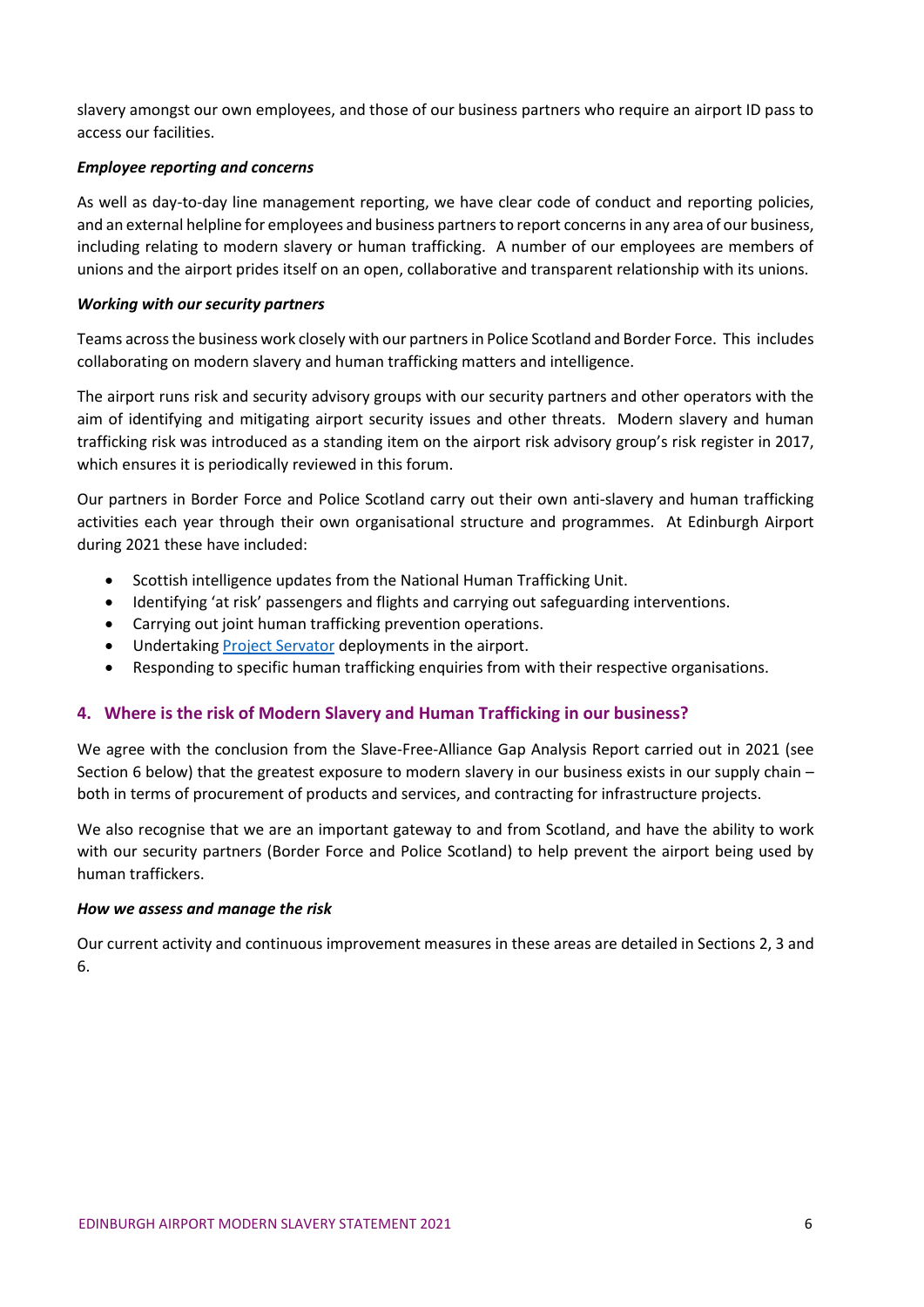slavery amongst our own employees, and those of our business partners who require an airport ID pass to access our facilities.

#### *Employee reporting and concerns*

As well as day-to-day line management reporting, we have clear code of conduct and reporting policies, and an external helpline for employees and business partners to report concerns in any area of our business, including relating to modern slavery or human trafficking. A number of our employees are members of unions and the airport prides itself on an open, collaborative and transparent relationship with its unions.

## *Working with our security partners*

Teams across the business work closely with our partners in Police Scotland and Border Force. This includes collaborating on modern slavery and human trafficking matters and intelligence.

The airport runs risk and security advisory groups with our security partners and other operators with the aim of identifying and mitigating airport security issues and other threats. Modern slavery and human trafficking risk was introduced as a standing item on the airport risk advisory group's risk register in 2017, which ensures it is periodically reviewed in this forum.

Our partners in Border Force and Police Scotland carry out their own anti-slavery and human trafficking activities each year through their own organisational structure and programmes. At Edinburgh Airport during 2021 these have included:

- Scottish intelligence updates from the National Human Trafficking Unit.
- Identifying 'at risk' passengers and flights and carrying out safeguarding interventions.
- Carrying out joint human trafficking prevention operations.
- Undertakin[g Project Servator](https://www.scotland.police.uk/advice-and-information/counter-terrorism/project-servator/) deployments in the airport.
- Responding to specific human trafficking enquiries from with their respective organisations.

## **4. Where is the risk of Modern Slavery and Human Trafficking in our business?**

We agree with the conclusion from the Slave-Free-Alliance Gap Analysis Report carried out in 2021 (see Section 6 below) that the greatest exposure to modern slavery in our business exists in our supply chain – both in terms of procurement of products and services, and contracting for infrastructure projects.

We also recognise that we are an important gateway to and from Scotland, and have the ability to work with our security partners (Border Force and Police Scotland) to help prevent the airport being used by human traffickers.

#### *How we assess and manage the risk*

Our current activity and continuous improvement measures in these areas are detailed in Sections 2, 3 and 6.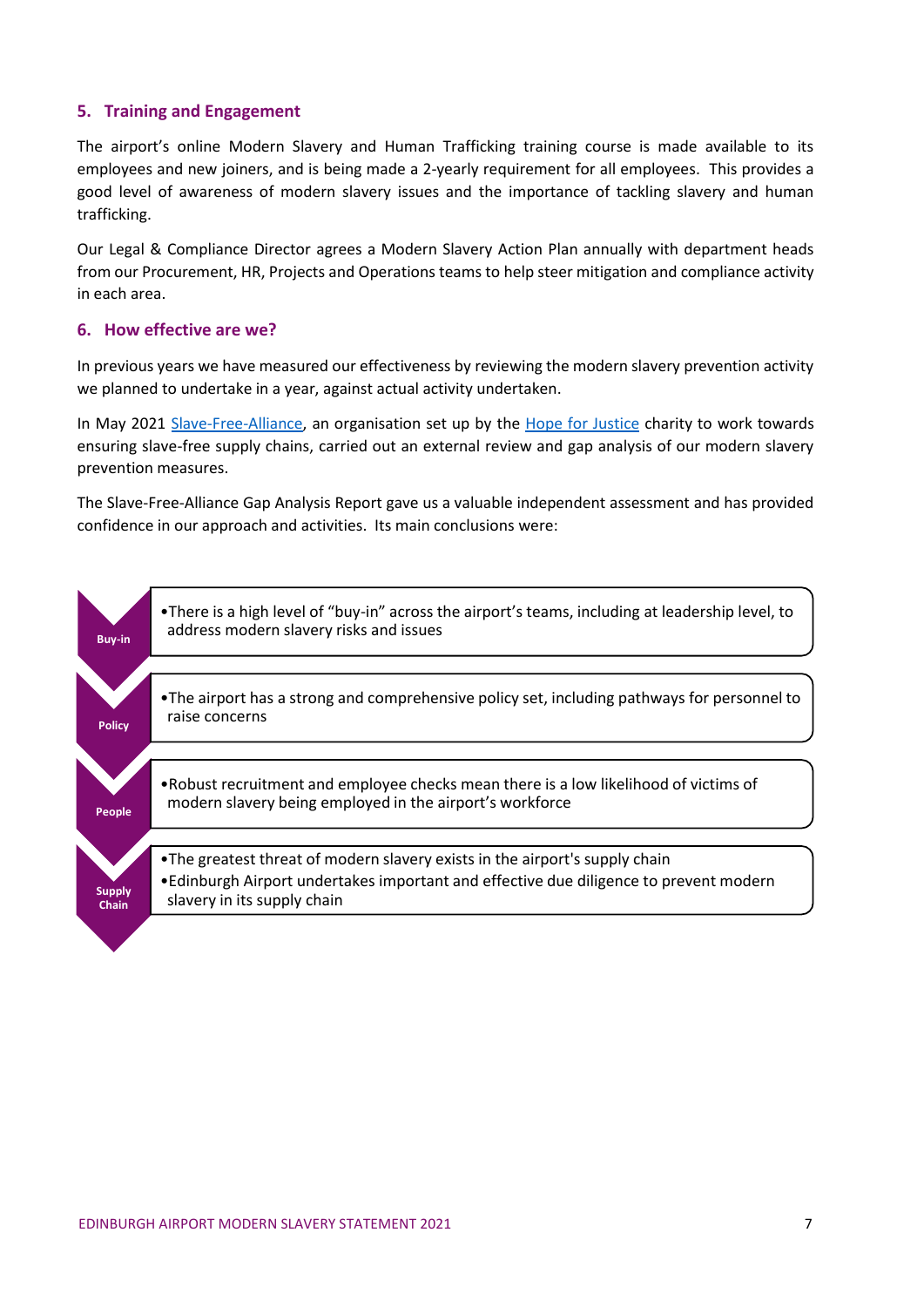## **5. Training and Engagement**

The airport's online Modern Slavery and Human Trafficking training course is made available to its employees and new joiners, and is being made a 2-yearly requirement for all employees. This provides a good level of awareness of modern slavery issues and the importance of tackling slavery and human trafficking.

Our Legal & Compliance Director agrees a Modern Slavery Action Plan annually with department heads from our Procurement, HR, Projects and Operations teams to help steer mitigation and compliance activity in each area.

## **6. How effective are we?**

In previous years we have measured our effectiveness by reviewing the modern slavery prevention activity we planned to undertake in a year, against actual activity undertaken.

In May 2021 [Slave-Free-Alliance,](https://www.slavefreealliance.org/) an organisation set up by the [Hope for Justice](https://hopeforjustice.org/) charity to work towards ensuring slave-free supply chains, carried out an external review and gap analysis of our modern slavery prevention measures.

The Slave-Free-Alliance Gap Analysis Report gave us a valuable independent assessment and has provided confidence in our approach and activities. Its main conclusions were:

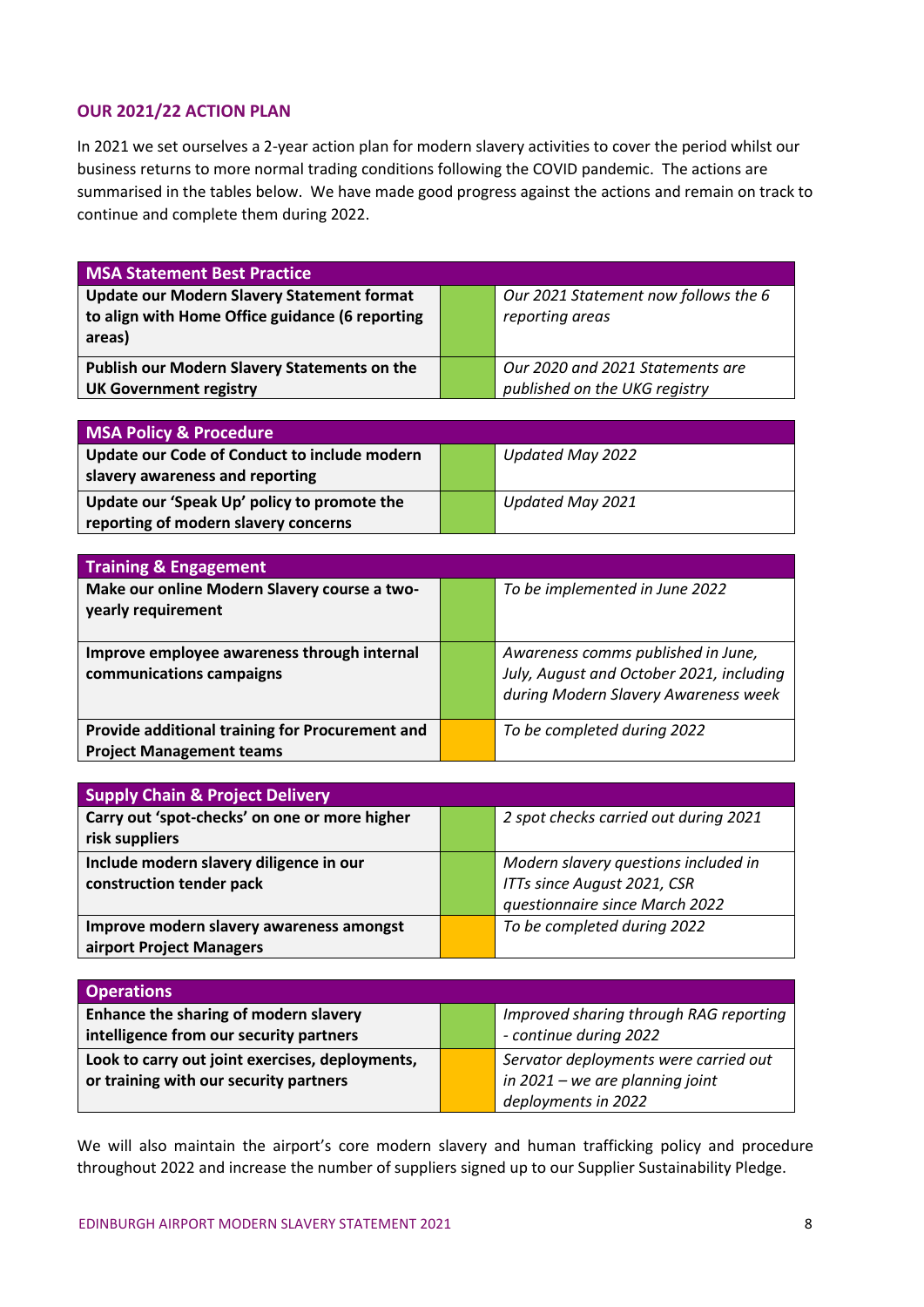## **OUR 2021/22 ACTION PLAN**

In 2021 we set ourselves a 2-year action plan for modern slavery activities to cover the period whilst our business returns to more normal trading conditions following the COVID pandemic. The actions are summarised in the tables below. We have made good progress against the actions and remain on track to continue and complete them during 2022.

| <b>MSA Statement Best Practice</b>                |  |                                      |  |
|---------------------------------------------------|--|--------------------------------------|--|
| <b>Update our Modern Slavery Statement format</b> |  | Our 2021 Statement now follows the 6 |  |
| to align with Home Office guidance (6 reporting   |  | reporting areas                      |  |
| areas)                                            |  |                                      |  |
| Publish our Modern Slavery Statements on the      |  | Our 2020 and 2021 Statements are     |  |
| <b>UK Government registry</b>                     |  | published on the UKG registry        |  |

| <b>MSA Policy &amp; Procedure</b>            |  |                  |
|----------------------------------------------|--|------------------|
| Update our Code of Conduct to include modern |  | Updated May 2022 |
| slavery awareness and reporting              |  |                  |
| Update our 'Speak Up' policy to promote the  |  | Updated May 2021 |
| reporting of modern slavery concerns         |  |                  |

| <b>Training &amp; Engagement</b>                                                   |  |                                                                                                                        |  |
|------------------------------------------------------------------------------------|--|------------------------------------------------------------------------------------------------------------------------|--|
| Make our online Modern Slavery course a two-<br>yearly requirement                 |  | To be implemented in June 2022                                                                                         |  |
| Improve employee awareness through internal<br>communications campaigns            |  | Awareness comms published in June,<br>July, August and October 2021, including<br>during Modern Slavery Awareness week |  |
| Provide additional training for Procurement and<br><b>Project Management teams</b> |  | To be completed during 2022                                                                                            |  |

| <b>Supply Chain &amp; Project Delivery</b>                           |  |                                                                                                       |  |  |
|----------------------------------------------------------------------|--|-------------------------------------------------------------------------------------------------------|--|--|
| Carry out 'spot-checks' on one or more higher<br>risk suppliers      |  | 2 spot checks carried out during 2021                                                                 |  |  |
| Include modern slavery diligence in our<br>construction tender pack  |  | Modern slavery questions included in<br>ITTs since August 2021, CSR<br>questionnaire since March 2022 |  |  |
| Improve modern slavery awareness amongst<br>airport Project Managers |  | To be completed during 2022                                                                           |  |  |

| <b>Operations</b>                               |                                        |
|-------------------------------------------------|----------------------------------------|
| Enhance the sharing of modern slavery           | Improved sharing through RAG reporting |
| intelligence from our security partners         | - continue during 2022                 |
| Look to carry out joint exercises, deployments, | Servator deployments were carried out  |
| or training with our security partners          | in $2021$ – we are planning joint      |
|                                                 | deployments in 2022                    |

We will also maintain the airport's core modern slavery and human trafficking policy and procedure throughout 2022 and increase the number of suppliers signed up to our Supplier Sustainability Pledge.